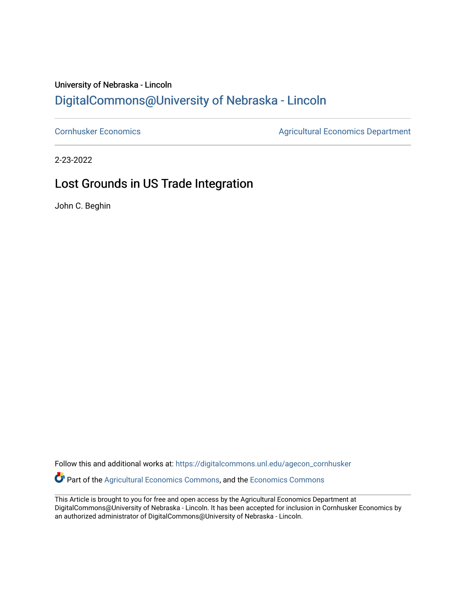### University of Nebraska - Lincoln [DigitalCommons@University of Nebraska - Lincoln](https://digitalcommons.unl.edu/)

[Cornhusker Economics](https://digitalcommons.unl.edu/agecon_cornhusker) **Agricultural Economics** Department

2-23-2022

## Lost Grounds in US Trade Integration

John C. Beghin

Follow this and additional works at: [https://digitalcommons.unl.edu/agecon\\_cornhusker](https://digitalcommons.unl.edu/agecon_cornhusker?utm_source=digitalcommons.unl.edu%2Fagecon_cornhusker%2F1135&utm_medium=PDF&utm_campaign=PDFCoverPages)  Part of the [Agricultural Economics Commons,](http://network.bepress.com/hgg/discipline/1225?utm_source=digitalcommons.unl.edu%2Fagecon_cornhusker%2F1135&utm_medium=PDF&utm_campaign=PDFCoverPages) and the [Economics Commons](http://network.bepress.com/hgg/discipline/340?utm_source=digitalcommons.unl.edu%2Fagecon_cornhusker%2F1135&utm_medium=PDF&utm_campaign=PDFCoverPages) 

This Article is brought to you for free and open access by the Agricultural Economics Department at DigitalCommons@University of Nebraska - Lincoln. It has been accepted for inclusion in Cornhusker Economics by an authorized administrator of DigitalCommons@University of Nebraska - Lincoln.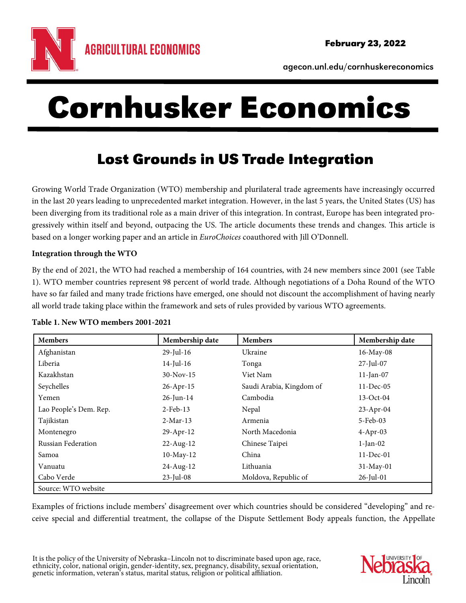

agecon.unl.edu/cornhuskereconomics

# Cornhusker Economics

# Lost Grounds in US Trade Integration

Growing World Trade Organization (WTO) membership and plurilateral trade agreements have increasingly occurred in the last 20 years leading to unprecedented market integration. However, in the last 5 years, the United States (US) has been diverging from its traditional role as a main driver of this integration. In contrast, Europe has been integrated progressively within itself and beyond, outpacing the US. The article documents these trends and changes. This article is based on a longer working paper and an article in EuroChoices coauthored with Jill O'Donnell.

#### **Integration through the WTO**

By the end of 2021, the WTO had reached a membership of 164 countries, with 24 new members since 2001 (see Table 1). WTO member countries represent 98 percent of world trade. Although negotiations of a Doha Round of the WTO have so far failed and many trade frictions have emerged, one should not discount the accomplishment of having nearly all world trade taking place within the framework and sets of rules provided by various WTO agreements.

| <b>Members</b>         | Membership date | <b>Members</b>           | Membership date |
|------------------------|-----------------|--------------------------|-----------------|
| Afghanistan            | $29$ -Jul-16    | Ukraine                  | 16-May-08       |
| Liberia                | $14$ -Jul-16    | Tonga                    | $27$ -Jul-07    |
| Kazakhstan             | $30-Nov-15$     | Viet Nam                 | $11$ -Jan-07    |
| Seychelles             | 26-Apr-15       | Saudi Arabia, Kingdom of | $11 - Dec-05$   |
| Yemen                  | $26$ -Jun-14    | Cambodia                 | $13-Oct-04$     |
| Lao People's Dem. Rep. | $2$ -Feb-13     | Nepal                    | 23-Apr-04       |
| Tajikistan             | $2-Mar-13$      | Armenia                  | 5-Feb-03        |
| Montenegro             | $29$ -Apr-12    | North Macedonia          | $4$ -Apr-03     |
| Russian Federation     | $22$ -Aug-12    | Chinese Taipei           | $1-Ian-02$      |
| Samoa                  | $10$ -May- $12$ | China                    | $11$ -Dec-01    |
| Vanuatu                | 24-Aug-12       | Lithuania                | $31-May-01$     |
| Cabo Verde             | $23$ -Jul-08    | Moldova, Republic of     | $26$ -Jul-01    |
| Source: WTO website    |                 |                          |                 |

#### **Table 1. New WTO members 2001-2021**

Examples of frictions include members' disagreement over which countries should be considered "developing" and receive special and differential treatment, the collapse of the Dispute Settlement Body appeals function, the Appellate

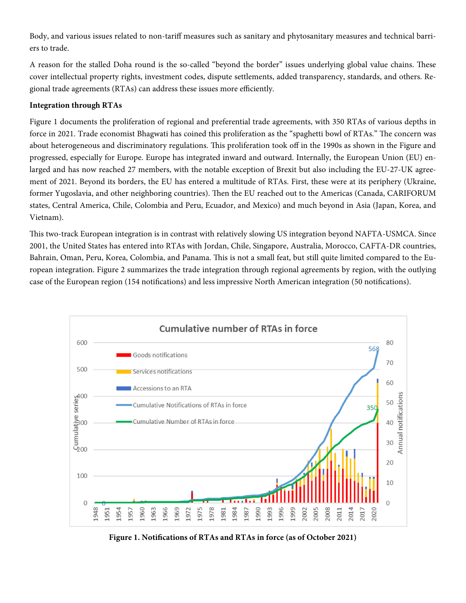Body, and various issues related to non-tariff measures such as sanitary and phytosanitary measures and technical barriers to trade.

A reason for the stalled Doha round is the so-called "beyond the border" issues underlying global value chains. These cover intellectual property rights, investment codes, dispute settlements, added transparency, standards, and others. Regional trade agreements (RTAs) can address these issues more efficiently.

#### **Integration through RTAs**

Figure 1 documents the proliferation of regional and preferential trade agreements, with 350 RTAs of various depths in force in 2021. Trade economist Bhagwati has coined this proliferation as the "spaghetti bowl of RTAs." The concern was about heterogeneous and discriminatory regulations. This proliferation took off in the 1990s as shown in the Figure and progressed, especially for Europe. Europe has integrated inward and outward. Internally, the European Union (EU) enlarged and has now reached 27 members, with the notable exception of Brexit but also including the EU-27-UK agreement of 2021. Beyond its borders, the EU has entered a multitude of RTAs. First, these were at its periphery (Ukraine, former Yugoslavia, and other neighboring countries). Then the EU reached out to the Americas (Canada, CARIFORUM states, Central America, Chile, Colombia and Peru, Ecuador, and Mexico) and much beyond in Asia (Japan, Korea, and Vietnam).

This two-track European integration is in contrast with relatively slowing US integration beyond NAFTA-USMCA. Since 2001, the United States has entered into RTAs with Jordan, Chile, Singapore, Australia, Morocco, CAFTA-DR countries, Bahrain, Oman, Peru, Korea, Colombia, and Panama. This is not a small feat, but still quite limited compared to the European integration. Figure 2 summarizes the trade integration through regional agreements by region, with the outlying case of the European region (154 notifications) and less impressive North American integration (50 notifications).



**Figure 1. Notifications of RTAs and RTAs in force (as of October 2021)**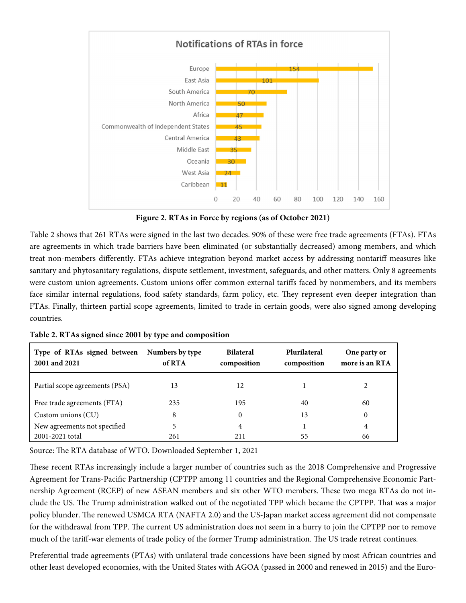

**Figure 2. RTAs in Force by regions (as of October 2021)**

Table 2 shows that 261 RTAs were signed in the last two decades. 90% of these were free trade agreements (FTAs). FTAs are agreements in which trade barriers have been eliminated (or substantially decreased) among members, and which treat non-members differently. FTAs achieve integration beyond market access by addressing nontariff measures like sanitary and phytosanitary regulations, dispute settlement, investment, safeguards, and other matters. Only 8 agreements were custom union agreements. Custom unions offer common external tariffs faced by nonmembers, and its members face similar internal regulations, food safety standards, farm policy, etc. They represent even deeper integration than FTAs. Finally, thirteen partial scope agreements, limited to trade in certain goods, were also signed among developing countries.

| Type of RTAs signed between<br>2001 and 2021 | Numbers by type<br>of RTA | <b>Bilateral</b><br>composition | Plurilateral<br>composition | One party or<br>more is an RTA |
|----------------------------------------------|---------------------------|---------------------------------|-----------------------------|--------------------------------|
| Partial scope agreements (PSA)               | 13                        | 12                              |                             |                                |
| Free trade agreements (FTA)                  | 235                       | 195                             | 40                          | 60                             |
| Custom unions $(CU)$                         | 8                         | 0                               | 13                          | $\boldsymbol{0}$               |
| New agreements not specified                 | 5                         | $\overline{4}$                  |                             | 4                              |
| 2001-2021 total                              | 261                       | 211                             | 55                          | 66                             |

**Table 2. RTAs signed since 2001 by type and composition** 

Source: The RTA database of WTO. Downloaded September 1, 2021

These recent RTAs increasingly include a larger number of countries such as the 2018 Comprehensive and Progressive Agreement for Trans-Pacific Partnership (CPTPP among 11 countries and the Regional Comprehensive Economic Partnership Agreement (RCEP) of new ASEAN members and six other WTO members. These two mega RTAs do not include the US. The Trump administration walked out of the negotiated TPP which became the CPTPP. That was a major policy blunder. The renewed USMCA RTA (NAFTA 2.0) and the US-Japan market access agreement did not compensate for the withdrawal from TPP. The current US administration does not seem in a hurry to join the CPTPP nor to remove much of the tariff-war elements of trade policy of the former Trump administration. The US trade retreat continues.

Preferential trade agreements (PTAs) with unilateral trade concessions have been signed by most African countries and other least developed economies, with the United States with AGOA (passed in 2000 and renewed in 2015) and the Euro